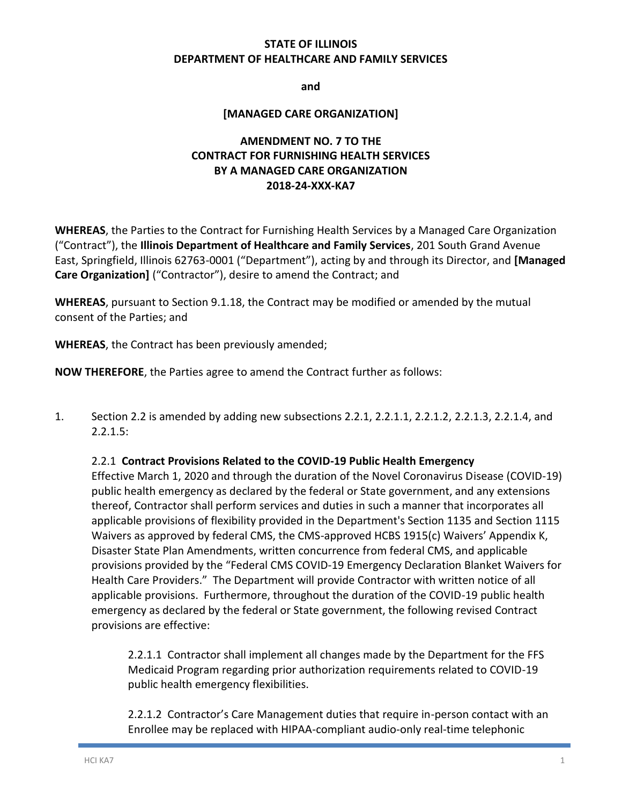### **STATE OF ILLINOIS DEPARTMENT OF HEALTHCARE AND FAMILY SERVICES**

**and**

#### **[MANAGED CARE ORGANIZATION]**

# **AMENDMENT NO. 7 TO THE CONTRACT FOR FURNISHING HEALTH SERVICES BY A MANAGED CARE ORGANIZATION 2018-24-XXX-KA7**

**WHEREAS**, the Parties to the Contract for Furnishing Health Services by a Managed Care Organization ("Contract"), the **Illinois Department of Healthcare and Family Services**, 201 South Grand Avenue East, Springfield, Illinois 62763-0001 ("Department"), acting by and through its Director, and **[Managed Care Organization]** ("Contractor"), desire to amend the Contract; and

**WHEREAS**, pursuant to Section 9.1.18, the Contract may be modified or amended by the mutual consent of the Parties; and

**WHEREAS**, the Contract has been previously amended;

**NOW THEREFORE**, the Parties agree to amend the Contract further as follows:

1. Section 2.2 is amended by adding new subsections 2.2.1, 2.2.1.1, 2.2.1.2, 2.2.1.3, 2.2.1.4, and 2.2.1.5:

#### 2.2.1 **Contract Provisions Related to the COVID-19 Public Health Emergency**

Effective March 1, 2020 and through the duration of the Novel Coronavirus Disease (COVID-19) public health emergency as declared by the federal or State government, and any extensions thereof, Contractor shall perform services and duties in such a manner that incorporates all applicable provisions of flexibility provided in the Department's Section 1135 and Section 1115 Waivers as approved by federal CMS, the CMS-approved HCBS 1915(c) Waivers' Appendix K, Disaster State Plan Amendments, written concurrence from federal CMS, and applicable provisions provided by the "Federal CMS COVID-19 Emergency Declaration Blanket Waivers for Health Care Providers." The Department will provide Contractor with written notice of all applicable provisions. Furthermore, throughout the duration of the COVID-19 public health emergency as declared by the federal or State government, the following revised Contract provisions are effective:

2.2.1.1 Contractor shall implement all changes made by the Department for the FFS Medicaid Program regarding prior authorization requirements related to COVID-19 public health emergency flexibilities.

2.2.1.2 Contractor's Care Management duties that require in-person contact with an Enrollee may be replaced with HIPAA-compliant audio-only real-time telephonic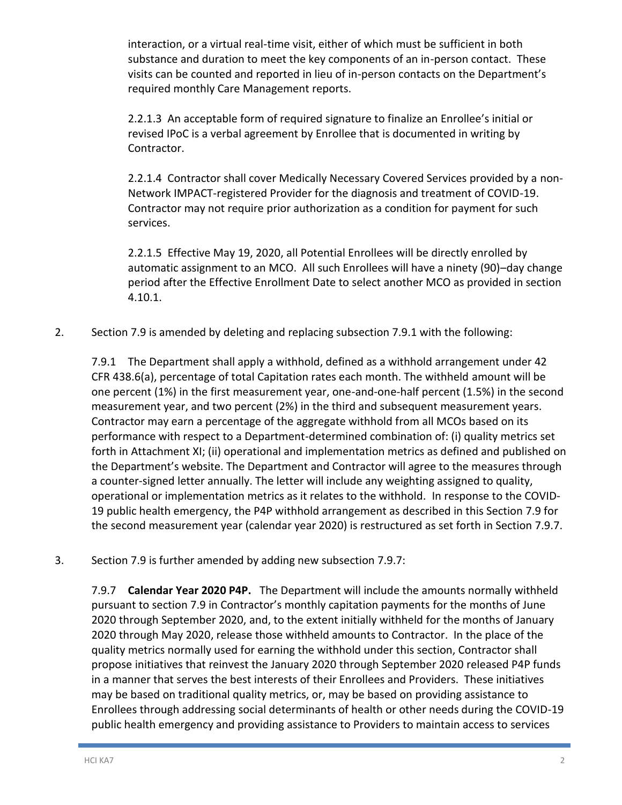interaction, or a virtual real-time visit, either of which must be sufficient in both substance and duration to meet the key components of an in-person contact. These visits can be counted and reported in lieu of in-person contacts on the Department's required monthly Care Management reports.

2.2.1.3 An acceptable form of required signature to finalize an Enrollee's initial or revised IPoC is a verbal agreement by Enrollee that is documented in writing by Contractor.

2.2.1.4 Contractor shall cover Medically Necessary Covered Services provided by a non-Network IMPACT-registered Provider for the diagnosis and treatment of COVID-19. Contractor may not require prior authorization as a condition for payment for such services.

2.2.1.5 Effective May 19, 2020, all Potential Enrollees will be directly enrolled by automatic assignment to an MCO. All such Enrollees will have a ninety (90)–day change period after the Effective Enrollment Date to select another MCO as provided in section 4.10.1.

2. Section 7.9 is amended by deleting and replacing subsection 7.9.1 with the following:

7.9.1 The Department shall apply a withhold, defined as a withhold arrangement under 42 CFR 438.6(a), percentage of total Capitation rates each month. The withheld amount will be one percent (1%) in the first measurement year, one-and-one-half percent (1.5%) in the second measurement year, and two percent (2%) in the third and subsequent measurement years. Contractor may earn a percentage of the aggregate withhold from all MCOs based on its performance with respect to a Department-determined combination of: (i) quality metrics set forth in Attachment XI; (ii) operational and implementation metrics as defined and published on the Department's website. The Department and Contractor will agree to the measures through a counter-signed letter annually. The letter will include any weighting assigned to quality, operational or implementation metrics as it relates to the withhold. In response to the COVID-19 public health emergency, the P4P withhold arrangement as described in this Section 7.9 for the second measurement year (calendar year 2020) is restructured as set forth in Section 7.9.7.

3. Section 7.9 is further amended by adding new subsection 7.9.7:

7.9.7 **Calendar Year 2020 P4P.**The Department will include the amounts normally withheld pursuant to section 7.9 in Contractor's monthly capitation payments for the months of June 2020 through September 2020, and, to the extent initially withheld for the months of January 2020 through May 2020, release those withheld amounts to Contractor. In the place of the quality metrics normally used for earning the withhold under this section, Contractor shall propose initiatives that reinvest the January 2020 through September 2020 released P4P funds in a manner that serves the best interests of their Enrollees and Providers. These initiatives may be based on traditional quality metrics, or, may be based on providing assistance to Enrollees through addressing social determinants of health or other needs during the COVID-19 public health emergency and providing assistance to Providers to maintain access to services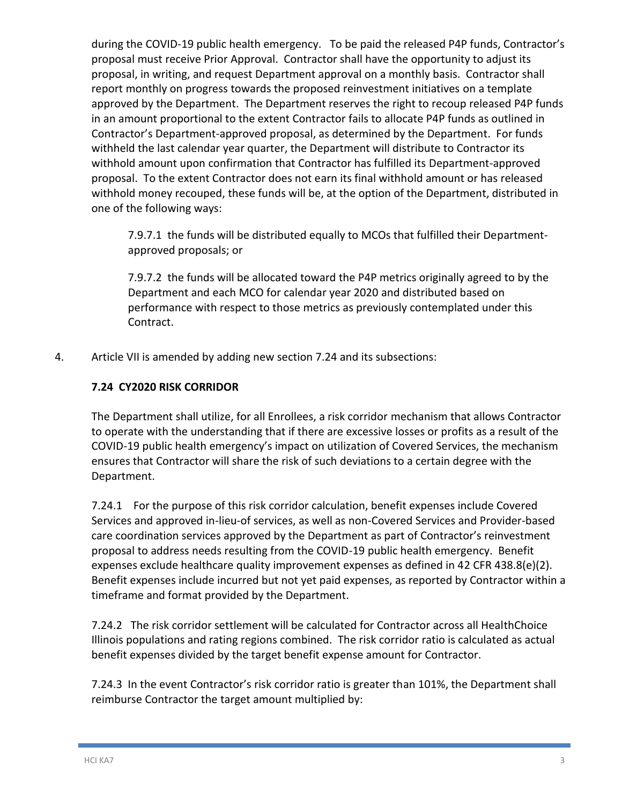during the COVID-19 public health emergency. To be paid the released P4P funds, Contractor's proposal must receive Prior Approval. Contractor shall have the opportunity to adjust its proposal, in writing, and request Department approval on a monthly basis. Contractor shall report monthly on progress towards the proposed reinvestment initiatives on a template approved by the Department. The Department reserves the right to recoup released P4P funds in an amount proportional to the extent Contractor fails to allocate P4P funds as outlined in Contractor's Department-approved proposal, as determined by the Department. For funds withheld the last calendar year quarter, the Department will distribute to Contractor its withhold amount upon confirmation that Contractor has fulfilled its Department-approved proposal. To the extent Contractor does not earn its final withhold amount or has released withhold money recouped, these funds will be, at the option of the Department, distributed in one of the following ways:

7.9.7.1 the funds will be distributed equally to MCOs that fulfilled their Departmentapproved proposals; or

7.9.7.2 the funds will be allocated toward the P4P metrics originally agreed to by the Department and each MCO for calendar year 2020 and distributed based on performance with respect to those metrics as previously contemplated under this Contract.

4. Article VII is amended by adding new section 7.24 and its subsections:

# **7.24 CY2020 RISK CORRIDOR**

The Department shall utilize, for all Enrollees, a risk corridor mechanism that allows Contractor to operate with the understanding that if there are excessive losses or profits as a result of the COVID-19 public health emergency's impact on utilization of Covered Services, the mechanism ensures that Contractor will share the risk of such deviations to a certain degree with the Department.

7.24.1 For the purpose of this risk corridor calculation, benefit expenses include Covered Services and approved in-lieu-of services, as well as non-Covered Services and Provider-based care coordination services approved by the Department as part of Contractor's reinvestment proposal to address needs resulting from the COVID-19 public health emergency. Benefit expenses exclude healthcare quality improvement expenses as defined in 42 CFR 438.8(e)(2). Benefit expenses include incurred but not yet paid expenses, as reported by Contractor within a timeframe and format provided by the Department.

7.24.2 The risk corridor settlement will be calculated for Contractor across all HealthChoice Illinois populations and rating regions combined. The risk corridor ratio is calculated as actual benefit expenses divided by the target benefit expense amount for Contractor.

7.24.3 In the event Contractor's risk corridor ratio is greater than 101%, the Department shall reimburse Contractor the target amount multiplied by: